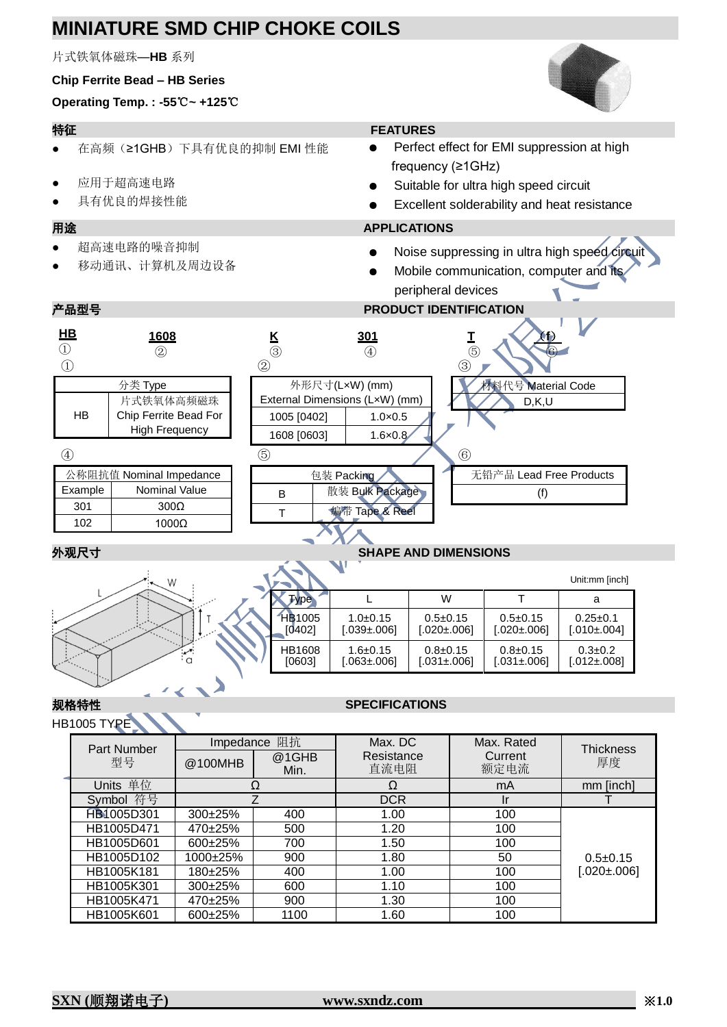# **MINIATURE SMD CHIP CHOKE COILS**

片式铁氧体磁珠—**HB** 系列

### **Chip Ferrite Bead – HB Series**

**Operating Temp. : -55**℃**~ +125**℃

- 在高频(≥1GHB)下具有优良的抑制 EMI 性能
- 应用于超高速电路
- 具有优良的焊接性能

- 超高速电路的噪音抑制
- 移动通讯、计算机及周边设备

## 特征 **FEATURES**

- Perfect effect for EMI suppression at high frequency (≥1GHz)
- Suitable for ultra high speed circuit
- Excellent solderability and heat resistance

## 用途 **APPLICATIONS**

- Noise suppressing in ultra high speed circuit
- Mobile communication, computer and its peripheral devices

## 产品型号 **PRODUCT IDENTIFICATION**



### Unit:mm [inch]  $\begin{array}{|c|c|c|c|c|c|}\hline \text{Type} & & L & | & W & | & \text{T} & | & \text{a} \ \hline \end{array}$ HB1005 [0402] 1.0±0.15 [.039±.006] 0.5±0.15 [.020±.006] 0.5±0.15 [.020±.006]  $0.25 \pm 0.1$  $[.010 \pm 0.004]$ HB1608 [0603] 1.6±0.15 [.063±.006] 0.8±0.15  $[0.031 \pm 0.06]$ 0.8±0.15  $[0.031 \pm 0.06]$  $0.3 + 0.2$  $[0.012 \pm 0.08]$

### HB1005 TYPE

## 规格特性 **SPECIFICATIONS**

|  | .<br>Part Number | 阻抗<br>Impedance |               | Max. DC            | Max. Rated      | <b>Thickness</b>  |
|--|------------------|-----------------|---------------|--------------------|-----------------|-------------------|
|  | 型号               | @100MHB         | @1GHB<br>Min. | Resistance<br>直流电阻 | Current<br>额定电流 | 厚度                |
|  | Units 单位         |                 |               |                    | mA              | mm [inch]         |
|  | 符号<br>Symbol     |                 |               | <b>DCR</b>         | Ir              |                   |
|  | HB1005D301       | $300+25%$       | 400           | 1.00               | 100             | $0.5 \pm 0.15$    |
|  | HB1005D471       | 470±25%         | 500           | 1.20               | 100             |                   |
|  | HB1005D601       | $600+25%$       | 700           | 1.50               | 100             |                   |
|  | HB1005D102       | $1000+25%$      | 900           | 1.80               | 50              |                   |
|  | HB1005K181       | 180±25%         | 400           | 1.00               | 100             | $[.020 \pm 0.06]$ |
|  | HB1005K301       | $300+25%$       | 600           | 1.10               | 100             |                   |
|  | HB1005K471       | 470±25%         | 900           | 1.30               | 100             |                   |
|  | HB1005K601       | 600±25%         | 1100          | 1.60               | 100             |                   |